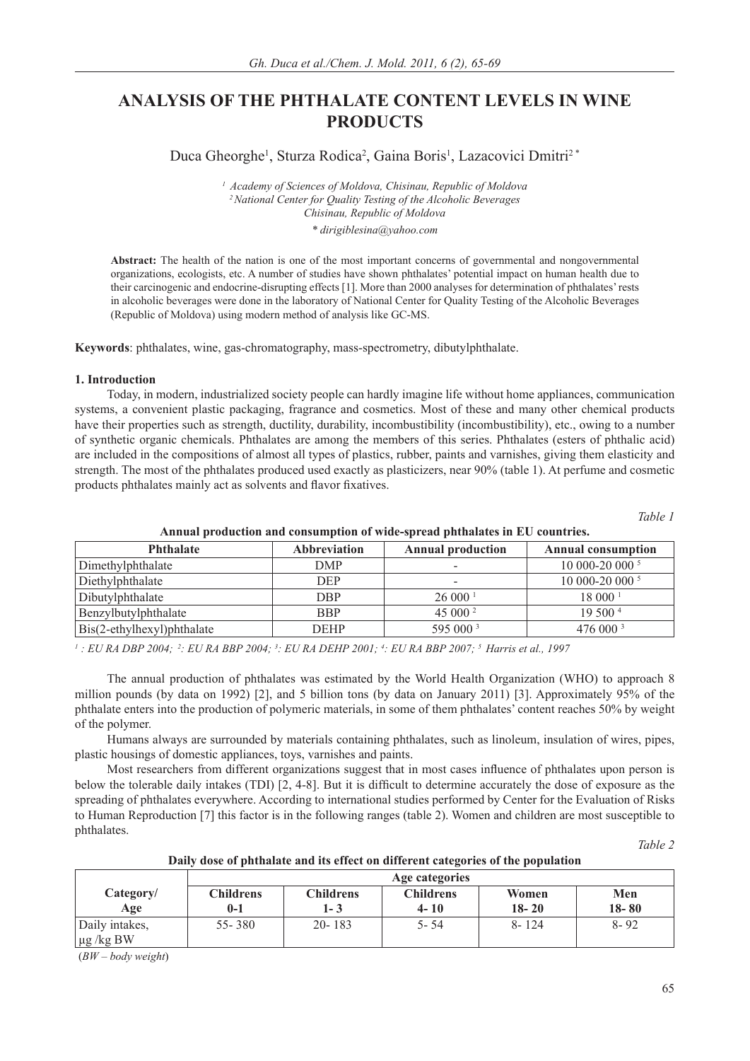# **ANALYSIS OF THE PHTHALATE CONTENT LEVELS IN WINE PRODUCTS**

Duca Gheorghe<sup>1</sup>, Sturza Rodica<sup>2</sup>, Gaina Boris<sup>1</sup>, Lazacovici Dmitri<sup>2\*</sup>

*1 Academy of Sciences of Moldova, Chisinau, Republic of Moldova 2 National Center for Quality Testing of the Alcoholic Beverages Chisinau, Republic of Moldova \* dirigiblesina@yahoo.com*

**Abstract:** The health of the nation is one of the most important concerns of governmental and nongovernmental organizations, ecologists, etc. A number of studies have shown phthalates' potential impact on human health due to their carcinogenic and endocrine-disrupting effects [1]. More than 2000 analyses for determination of phthalates' rests in alcoholic beverages were done in the laboratory of National Center for Quality Testing of the Alcoholic Beverages (Republic of Moldova) using modern method of analysis like GC-MS.

**Keywords**: phthalates, wine, gas-chromatography, mass-spectrometry, dibutylphthalate.

# **1. Introduction**

Today, in modern, industrialized society people can hardly imagine life without home appliances, communication systems, a convenient plastic packaging, fragrance and cosmetics. Most of these and many other chemical products have their properties such as strength, ductility, durability, incombustibility (incombustibility), etc., owing to a number of synthetic organic chemicals. Phthalates are among the members of this series. Phthalates (esters of phthalic acid) are included in the compositions of almost all types of plastics, rubber, paints and varnishes, giving them elasticity and strength. The most of the phthalates produced used exactly as plasticizers, near 90% (table 1). At perfume and cosmetic products phthalates mainly act as solvents and flavor fixatives.

*Table 1*

| THIRBU PLOWGODOR BRB CORSUMPTION OF THE SPICES PROBINGS IN ECT COMMITTOR |                     |                          |                           |  |
|--------------------------------------------------------------------------|---------------------|--------------------------|---------------------------|--|
| <b>Phthalate</b>                                                         | <b>Abbreviation</b> | <b>Annual production</b> | <b>Annual consumption</b> |  |
| Dimethylphthalate                                                        | DMP                 | -                        | 10 000-20 000 5           |  |
| Diethylphthalate                                                         | <b>DEP</b>          | -                        | 10 000-20 000 5           |  |
| Dibutylphthalate                                                         | DBP                 | 26000 <sup>1</sup>       | 18000 <sup>1</sup>        |  |
| Benzylbutylphthalate                                                     | <b>BBP</b>          | 45 000 $^{\circ}$        | 19500 <sup>4</sup>        |  |
| Bis(2-ethylhexyl)phthalate                                               | <b>DEHP</b>         | 595 000 3                | 476000 <sup>3</sup>       |  |

# **Annual production and consumption of wide-spread phthalates in EU countries.**

*1 : EU RA DBP 2004; 2: EU RA BBP 2004; 3 : EU RA DEHP 2001; 4 : EU RA BBP 2007; 5 Harris et al., 1997*

The annual production of phthalates was estimated by the World Health Organization (WHO) to approach 8 million pounds (by data on 1992) [2], and 5 billion tons (by data on January 2011) [3]. Approximately 95% of the phthalate enters into the production of polymeric materials, in some of them phthalates' content reaches 50% by weight of the polymer.

Humans always are surrounded by materials containing phthalates, such as linoleum, insulation of wires, pipes, plastic housings of domestic appliances, toys, varnishes and paints.

Most researchers from different organizations suggest that in most cases influence of phthalates upon person is below the tolerable daily intakes (TDI)  $[2, 4-8]$ . But it is difficult to determine accurately the dose of exposure as the spreading of phthalates everywhere. According to international studies performed by Center for the Evaluation of Risks to Human Reproduction [7] this factor is in the following ranges (table 2). Women and children are most susceptible to phthalates.

*Table 2* 

|                                  | Age categories          |                           |                              |                    |                  |
|----------------------------------|-------------------------|---------------------------|------------------------------|--------------------|------------------|
| Category/<br>Age                 | <b>Childrens</b><br>0-1 | <b>Childrens</b><br>1 - 3 | <b>Childrens</b><br>$4 - 10$ | Women<br>$18 - 20$ | Men<br>$18 - 80$ |
| Daily intakes,<br>$\mu$ g /kg BW | 55 - 380                | $20 - 183$                | 5- 54                        | 8-124              | $8 - 92$         |

**Daily dose of phthalate and its effect on different categories of the population**

(*BW – body weight*)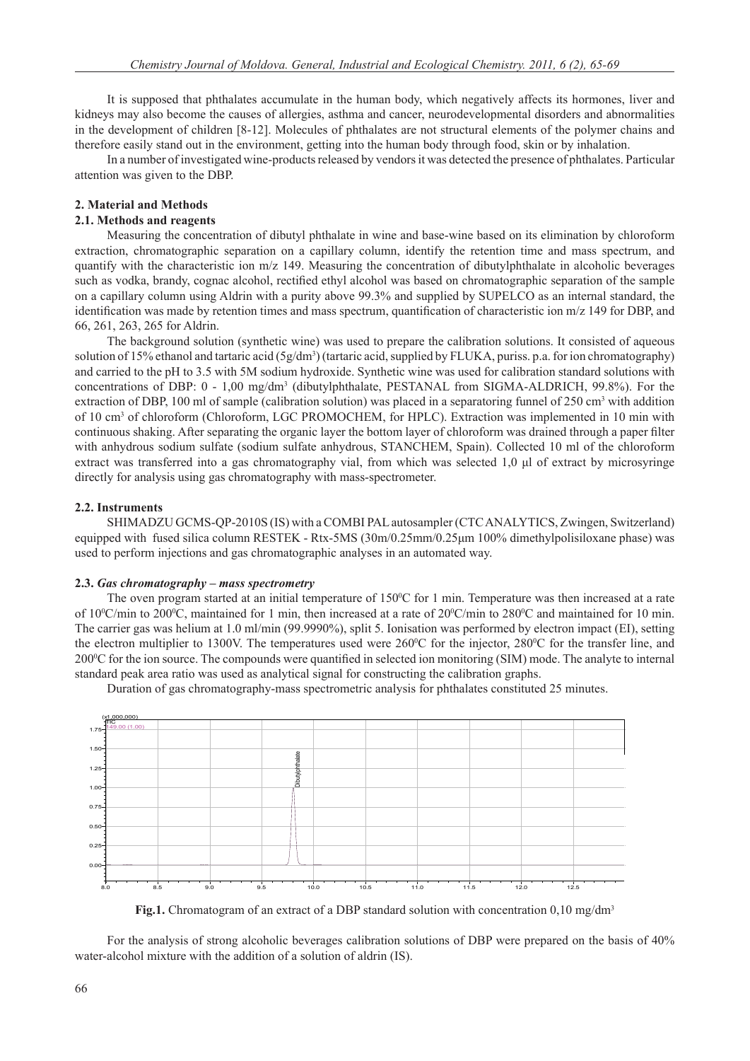It is supposed that phthalates accumulate in the human body, which negatively affects its hormones, liver and kidneys may also become the causes of allergies, asthma and cancer, neurodevelopmental disorders and abnormalities in the development of children [8-12]. Molecules of phthalates are not structural elements of the polymer chains and therefore easily stand out in the environment, getting into the human body through food, skin or by inhalation.

In a number of investigated wine-products released by vendors it was detected the presence of phthalates. Particular attention was given to the DBP.

# **2. Material and Methods**

#### **2.1. Methods and reagents**

Measuring the concentration of dibutyl phthalate in wine and base-wine based on its elimination by chloroform extraction, chromatographic separation on a capillary column, identify the retention time and mass spectrum, and quantify with the characteristic ion m/z 149. Measuring the concentration of dibutylphthalate in alcoholic beverages such as vodka, brandy, cognac alcohol, rectified ethyl alcohol was based on chromatographic separation of the sample on a capillary column using Aldrin with a purity above 99.3% and supplied by SUPELCO as an internal standard, the identification was made by retention times and mass spectrum, quantification of characteristic ion  $m/z$  149 for DBP, and 66, 261, 263, 265 for Aldrin.

The background solution (synthetic wine) was used to prepare the calibration solutions. It consisted of aqueous solution of 15% ethanol and tartaric acid (5g/dm<sup>3</sup>) (tartaric acid, supplied by FLUKA, puriss. p.a. for ion chromatography) and carried to the pH to 3.5 with 5M sodium hydroxide. Synthetic wine was used for calibration standard solutions with concentrations of DBP: 0 - 1,00 mg/dm<sup>3</sup> (dibutylphthalate, PESTANAL from SIGMA-ALDRICH, 99.8%). For the extraction of DBP, 100 ml of sample (calibration solution) was placed in a separatoring funnel of  $250 \text{ cm}^3$  with addition of 10 cm<sup>3</sup> of chloroform (Chloroform, LGC PROMOCHEM, for HPLC). Extraction was implemented in 10 min with continuous shaking. After separating the organic layer the bottom layer of chloroform was drained through a paper filter with anhydrous sodium sulfate (sodium sulfate anhydrous, STANCHEM, Spain). Collected 10 ml of the chloroform extract was transferred into a gas chromatography vial, from which was selected 1,0 μl of extract by microsyringe directly for analysis using gas chromatography with mass-spectrometer.

## **2.2. Instruments**

SHIMADZU GCMS-QP-2010S (IS) with a COMBI PAL autosampler (CTC ANALYTICS, Zwingen, Switzerland) equipped with fused silica column RESTEK - Rtx-5MS (30m/0.25mm/0.25μm 100% dimethylpolisiloxane phase) was used to perform injections and gas chromatographic analyses in an automated way.

#### **2.3.** *Gas chromatography – mass spectrometry*

The oven program started at an initial temperature of 150°C for 1 min. Temperature was then increased at a rate of 10<sup>o</sup>C/min to 200<sup>o</sup>C, maintained for 1 min, then increased at a rate of 20<sup>o</sup>C/min to 280<sup>o</sup>C and maintained for 10 min. The carrier gas was helium at 1.0 ml/min (99.9990%), split 5. Ionisation was performed by electron impact (EI), setting the electron multiplier to 1300V. The temperatures used were 260 °C for the injector, 280 °C for the transfer line, and 200<sup>o</sup>C for the ion source. The compounds were quantified in selected ion monitoring (SIM) mode. The analyte to internal standard peak area ratio was used as analytical signal for constructing the calibration graphs.

Duration of gas chromatography-mass spectrometric analysis for phthalates constituted 25 minutes.



**Fig.1.** Chromatogram of an extract of a DBP standard solution with concentration 0,10 mg/dm<sup>3</sup>

For the analysis of strong alcoholic beverages calibration solutions of DBP were prepared on the basis of 40% water-alcohol mixture with the addition of a solution of aldrin (IS).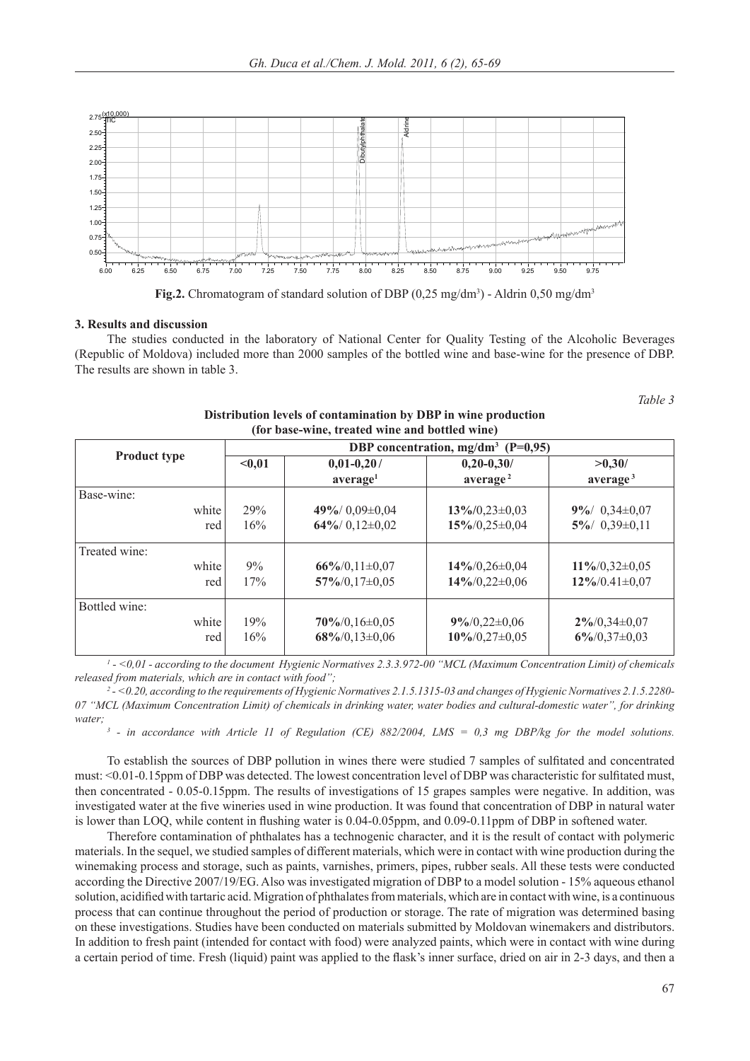



#### **3. Results and discussion**

The studies conducted in the laboratory of National Center for Quality Testing of the Alcoholic Beverages (Republic of Moldova) included more than 2000 samples of the bottled wine and base-wine for the presence of DBP. The results are shown in table 3.

*Table 3* 

|                     | DBP concentration, $mg/dm^3$ (P=0,95) |                      |                      |                      |  |
|---------------------|---------------------------------------|----------------------|----------------------|----------------------|--|
| <b>Product type</b> | $0,01-0,20/$<br>$0,01$                |                      | $0,20-0,30/$         | >0,30/               |  |
|                     |                                       | average <sup>1</sup> | average <sup>2</sup> | average <sup>3</sup> |  |
| Base-wine:          |                                       |                      |                      |                      |  |
| white               | 29%                                   | 49%/0,09±0,04        | $13\%/0,23\pm0,03$   | $9\%/0,34\pm0,07$    |  |
| red                 | 16%                                   | $64\%/0,12\pm0,02$   | $15\%/0.25\pm0.04$   | $5\%/0,39\pm0,11$    |  |
| Treated wine:       |                                       |                      |                      |                      |  |
| white               | 9%                                    | $66\%/0.11\pm0.07$   | $14\%/0,26\pm0,04$   | $11\%/0,32\pm0,05$   |  |
| red                 | 17%                                   | $57\%/0,17\pm0,05$   | $14\%/0,22\pm0,06$   | $12\%/0.41\pm0.07$   |  |
| Bottled wine:       |                                       |                      |                      |                      |  |
| white               | 19%                                   | $70\%/0,16\pm0,05$   | $9\%/0,22\pm0,06$    | $2\%/0,34\pm0,07$    |  |
| red                 | 16%                                   | $68\%/0,13\pm0,06$   | $10\%/0.27\pm0.05$   | $6\%/0,37\pm0,03$    |  |

#### **Distribution levels of contamination by DBP in wine production (for base-wine, treated wine and bottled wine)**

*1 - <0,01 - according to the document Hygienic Normatives 2.3.3.972-00 "MCL (Maximum Concentration Limit) of chemicals released from materials, which are in contact with food";*

*2 - <0.20, according to the requirements of Hygienic Normatives 2.1.5.1315-03 and changes of Hygienic Normatives 2.1.5.2280- 07 "MCL (Maximum Concentration Limit) of chemicals in drinking water, water bodies and cultural-domestic water", for drinking water;*

*3 - in accordance with Article 11 of Regulation (CE) 882/2004, LMS = 0,3 mg DBP/kg for the model solutions.*

To establish the sources of DBP pollution in wines there were studied 7 samples of sulfitated and concentrated must: <0.01-0.15ppm of DBP was detected. The lowest concentration level of DBP was characteristic for sulfitated must, then concentrated - 0.05-0.15ppm. The results of investigations of 15 grapes samples were negative. In addition, was investigated water at the five wineries used in wine production. It was found that concentration of DBP in natural water is lower than LOQ, while content in flushing water is 0.04-0.05ppm, and 0.09-0.11ppm of DBP in softened water.

Therefore contamination of phthalates has a technogenic character, and it is the result of contact with polymeric materials. In the sequel, we studied samples of different materials, which were in contact with wine production during the winemaking process and storage, such as paints, varnishes, primers, pipes, rubber seals. All these tests were conducted according the Directive 2007/19/EG. Also was investigated migration of DBP to a model solution - 15% aqueous ethanol solution, acidified with tartaric acid. Migration of phthalates from materials, which are in contact with wine, is a continuous process that can continue throughout the period of production or storage. The rate of migration was determined basing on these investigations. Studies have been conducted on materials submitted by Moldovan winemakers and distributors. In addition to fresh paint (intended for contact with food) were analyzed paints, which were in contact with wine during a certain period of time. Fresh (liquid) paint was applied to the flask's inner surface, dried on air in 2-3 days, and then a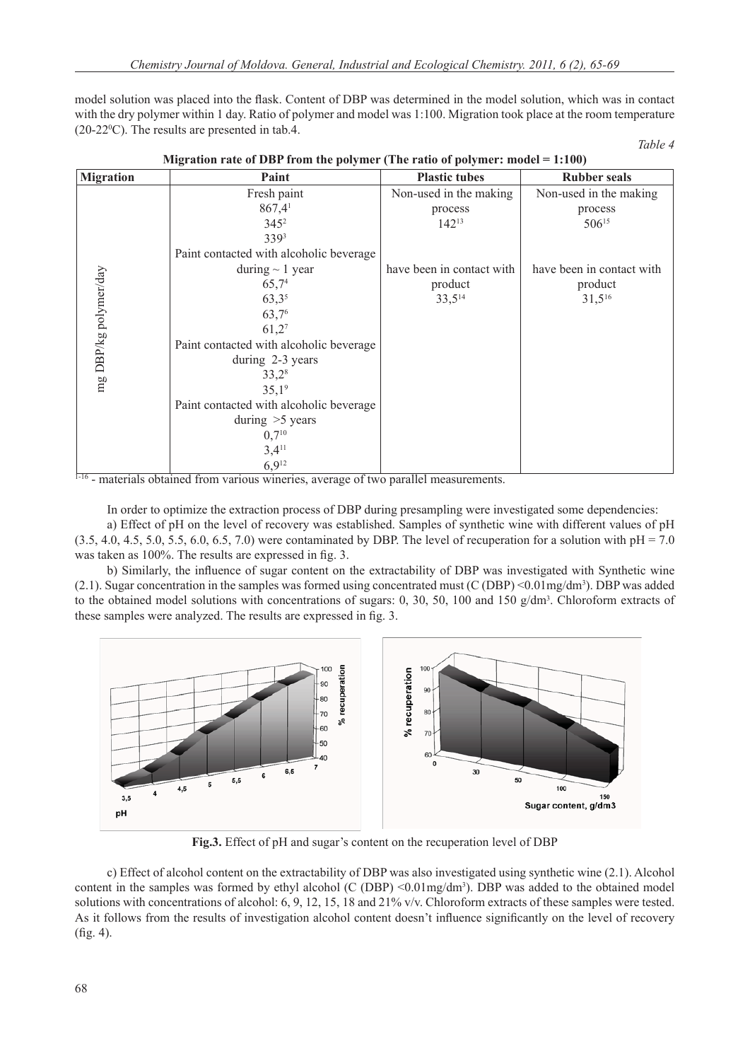model solution was placed into the flask. Content of DBP was determined in the model solution, which was in contact with the dry polymer within 1 day. Ratio of polymer and model was 1:100. Migration took place at the room temperature  $(20-22$ <sup>o</sup>C). The results are presented in tab.4.

|--|--|--|

| <b>Migration</b>      | Paint                                   | <b>Plastic tubes</b>      | <b>Rubber seals</b>       |
|-----------------------|-----------------------------------------|---------------------------|---------------------------|
|                       | Fresh paint                             | Non-used in the making    | Non-used in the making    |
|                       | $867,4$ <sup>1</sup>                    | process                   | process                   |
|                       | $345^2$                                 | $142^{13}$                | $506^{15}$                |
|                       | 3393                                    |                           |                           |
| mg DBP/kg polymer/day | Paint contacted with alcoholic beverage |                           |                           |
|                       | during $\sim$ 1 year                    | have been in contact with | have been in contact with |
|                       | 65,74                                   | product                   | product                   |
|                       | $63,3^{5}$                              | $33,5^{14}$               | $31,5^{16}$               |
|                       | 63,76                                   |                           |                           |
|                       | 61,27                                   |                           |                           |
|                       | Paint contacted with alcoholic beverage |                           |                           |
|                       | during 2-3 years                        |                           |                           |
|                       | $33,2^8$                                |                           |                           |
|                       | 35,19                                   |                           |                           |
|                       | Paint contacted with alcoholic beverage |                           |                           |
|                       | during $>5$ years                       |                           |                           |
|                       | $0,7^{10}$                              |                           |                           |
|                       | $3,4^{11}$                              |                           |                           |
|                       | $6,9^{12}$                              |                           |                           |

**Migration rate of DBP from the polymer (The ratio of polymer: model = 1:100)** 

 $1-16$  - materials obtained from various wineries, average of two parallel measurements.

In order to optimize the extraction process of DBP during presampling were investigated some dependencies: a) Effect of pH on the level of recovery was established. Samples of synthetic wine with different values of pH  $(3.5, 4.0, 4.5, 5.0, 5.5, 6.0, 6.5, 7.0)$  were contaminated by DBP. The level of recuperation for a solution with  $pH = 7.0$ was taken as 100%. The results are expressed in fig. 3.

b) Similarly, the influence of sugar content on the extractability of DBP was investigated with Synthetic wine  $(2.1)$ . Sugar concentration in the samples was formed using concentrated must  $(C(DBP) < 0.01mg/dm<sup>3</sup>)$ . DBP was added to the obtained model solutions with concentrations of sugars: 0, 30, 50, 100 and 150  $g/dm<sup>3</sup>$ . Chloroform extracts of these samples were analyzed. The results are expressed in fig. 3.



**Fig.3.** Effect of pH and sugar's content on the recuperation level of DBP

c) Effect of alcohol content on the extractability of DBP was also investigated using synthetic wine (2.1). Alcohol content in the samples was formed by ethyl alcohol  $(C (DBP) < 0.01mg/dm<sup>3</sup>)$ . DBP was added to the obtained model solutions with concentrations of alcohol: 6, 9, 12, 15, 18 and 21% v/v. Chloroform extracts of these samples were tested. As it follows from the results of investigation alcohol content doesn't influence significantly on the level of recovery  $(f_1 g_2 4)$ .